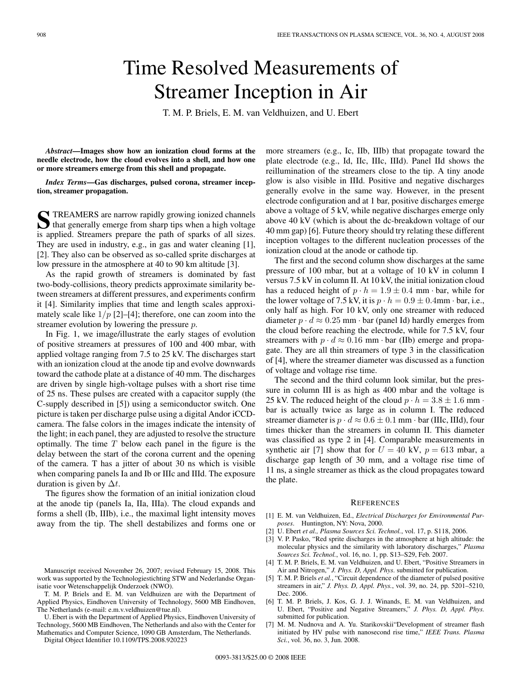## Time Resolved Measurements of Streamer Inception in Air

T. M. P. Briels, E. M. van Veldhuizen, and U. Ebert

*Abstract***—Images show how an ionization cloud forms at the needle electrode, how the cloud evolves into a shell, and how one or more streamers emerge from this shell and propagate.**

*Index Terms***—Gas discharges, pulsed corona, streamer inception, streamer propagation.**

**S** TREAMERS are narrow rapidly growing ionized channels<br>that generally emerge from sharp tips when a high voltage is applied. Streamers prepare the path of sparks of all sizes. They are used in industry, e.g., in gas and water cleaning [1], [2]. They also can be observed as so-called sprite discharges at low pressure in the atmosphere at 40 to 90 km altitude [3].

As the rapid growth of streamers is dominated by fast two-body-collisions, theory predicts approximate similarity between streamers at different pressures, and experiments confirm it [4]. Similarity implies that time and length scales approximately scale like  $1/p$  [2]–[4]; therefore, one can zoom into the streamer evolution by lowering the pressure p.

In Fig. 1, we image/illustrate the early stages of evolution of positive streamers at pressures of 100 and 400 mbar, with applied voltage ranging from 7.5 to 25 kV. The discharges start with an ionization cloud at the anode tip and evolve downwards toward the cathode plate at a distance of 40 mm. The discharges are driven by single high-voltage pulses with a short rise time of 25 ns. These pulses are created with a capacitor supply (the C-supply described in [5]) using a semiconductor switch. One picture is taken per discharge pulse using a digital Andor iCCDcamera. The false colors in the images indicate the intensity of the light; in each panel, they are adjusted to resolve the structure optimally. The time  $T$  below each panel in the figure is the delay between the start of the corona current and the opening of the camera. T has a jitter of about 30 ns which is visible when comparing panels Ia and Ib or IIIc and IIId. The exposure duration is given by  $\Delta t$ .

The figures show the formation of an initial ionization cloud at the anode tip (panels Ia, IIa, IIIa). The cloud expands and forms a shell (Ib, IIIb), i.e., the maximal light intensity moves away from the tip. The shell destabilizes and forms one or

Digital Object Identifier 10.1109/TPS.2008.920223

more streamers (e.g., Ic, IIb, IIIb) that propagate toward the plate electrode (e.g., Id, IIc, IIIc, IIId). Panel IId shows the reillumination of the streamers close to the tip. A tiny anode glow is also visible in IIId. Positive and negative discharges generally evolve in the same way. However, in the present electrode configuration and at 1 bar, positive discharges emerge above a voltage of 5 kV, while negative discharges emerge only above 40 kV (which is about the dc-breakdown voltage of our 40 mm gap) [6]. Future theory should try relating these different inception voltages to the different nucleation processes of the ionization cloud at the anode or cathode tip.

The first and the second column show discharges at the same pressure of 100 mbar, but at a voltage of 10 kV in column I versus 7.5 kV in column II. At 10 kV, the initial ionization cloud has a reduced height of  $p \cdot h = 1.9 \pm 0.4$  mm $\cdot$  bar, while for the lower voltage of 7.5 kV, it is  $p \cdot h = 0.9 \pm 0.4$ mm · bar, i.e., only half as high. For 10 kV, only one streamer with reduced diameter  $p \cdot d \approx 0.25$  mm  $\cdot$  bar (panel Id) hardly emerges from the cloud before reaching the electrode, while for 7.5 kV, four streamers with  $p \cdot d \approx 0.16$  mm $\cdot$  bar (IIb) emerge and propagate. They are all thin streamers of type 3 in the classification of [4], where the streamer diameter was discussed as a function of voltage and voltage rise time.

The second and the third column look similar, but the pressure in column III is as high as 400 mbar and the voltage is 25 kV. The reduced height of the cloud  $p \cdot h = 3.8 \pm 1.6$  mm  $\cdot$ bar is actually twice as large as in column I. The reduced streamer diameter is  $p \cdot d \approx 0.6 \pm 0.1$  mm · bar (IIIc, IIId), four times thicker than the streamers in column II. This diameter was classified as type 2 in [4]. Comparable measurements in synthetic air [7] show that for  $U = 40$  kV,  $p = 613$  mbar, a discharge gap length of 30 mm, and a voltage rise time of 11 ns, a single streamer as thick as the cloud propagates toward the plate.

## **REFERENCES**

- [1] E. M. van Veldhuizen, Ed., *Electrical Discharges for Environmental Purposes*. Huntington, NY: Nova, 2000.
- [2] U. Ebert *et al., Plasma Sources Sci. Technol.*, vol. 17, p. S118, 2006.
- [3] V. P. Pasko, "Red sprite discharges in the atmosphere at high altitude: the molecular physics and the similarity with laboratory discharges," *Plasma Sources Sci. Technol.*, vol. 16, no. 1, pp. S13–S29, Feb. 2007.
- [4] T. M. P. Briels, E. M. van Veldhuizen, and U. Ebert, "Positive Streamers in Air and Nitrogen," *J. Phys. D, Appl. Phys*. submitted for publication.
- [5] T. M. P. Briels *et al.*, "Circuit dependence of the diameter of pulsed positive streamers in air," *J. Phys. D, Appl. Phys.*, vol. 39, no. 24, pp. 5201–5210, Dec. 2006.
- [6] T. M. P. Briels, J. Kos, G. J. J. Winands, E. M. van Veldhuizen, and U. Ebert, "Positive and Negative Streamers," *J. Phys. D, Appl. Phys.* submitted for publication.
- [7] M. M. Nudnova and A. Yu. Starikovskii"Development of streamer flash initiated by HV pulse with nanosecond rise time," *IEEE Trans. Plasma Sci.*, vol. 36, no. 3, Jun. 2008.

Manuscript received November 26, 2007; revised February 15, 2008. This work was supported by the Technologiestichting STW and Nederlandse Organisatie voor Wetenschappelijk Onderzoek (NWO).

T. M. P. Briels and E. M. van Veldhuizen are with the Department of Applied Physics, Eindhoven University of Technology, 5600 MB Eindhoven, The Netherlands (e-mail: e.m.v.veldhuizen@tue.nl).

U. Ebert is with the Department of Applied Physics, Eindhoven University of Technology, 5600 MB Eindhoven, The Netherlands and also with the Center for Mathematics and Computer Science, 1090 GB Amsterdam, The Netherlands.